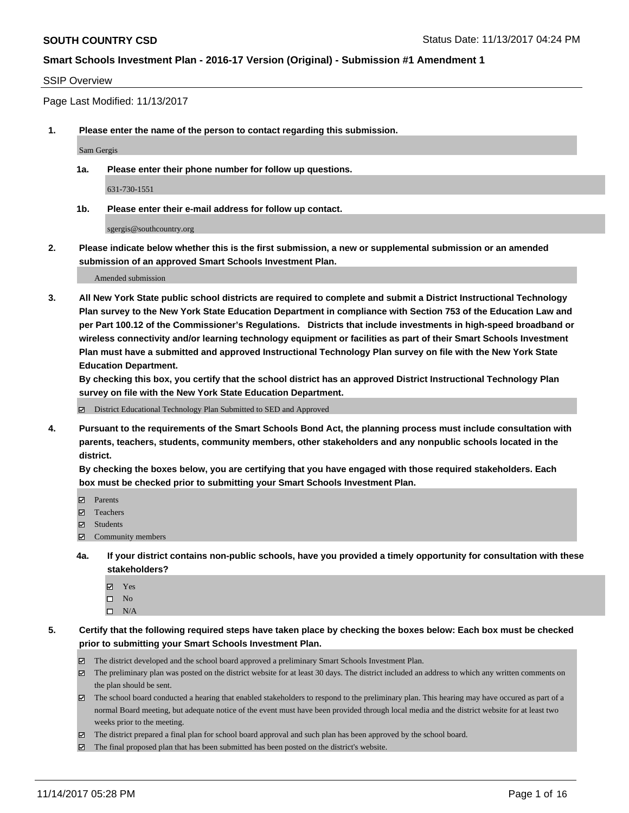#### SSIP Overview

Page Last Modified: 11/13/2017

**1. Please enter the name of the person to contact regarding this submission.**

Sam Gergis

**1a. Please enter their phone number for follow up questions.**

631-730-1551

**1b. Please enter their e-mail address for follow up contact.**

sgergis@southcountry.org

**2. Please indicate below whether this is the first submission, a new or supplemental submission or an amended submission of an approved Smart Schools Investment Plan.**

Amended submission

**3. All New York State public school districts are required to complete and submit a District Instructional Technology Plan survey to the New York State Education Department in compliance with Section 753 of the Education Law and per Part 100.12 of the Commissioner's Regulations. Districts that include investments in high-speed broadband or wireless connectivity and/or learning technology equipment or facilities as part of their Smart Schools Investment Plan must have a submitted and approved Instructional Technology Plan survey on file with the New York State Education Department.** 

**By checking this box, you certify that the school district has an approved District Instructional Technology Plan survey on file with the New York State Education Department.**

District Educational Technology Plan Submitted to SED and Approved

**4. Pursuant to the requirements of the Smart Schools Bond Act, the planning process must include consultation with parents, teachers, students, community members, other stakeholders and any nonpublic schools located in the district.** 

**By checking the boxes below, you are certifying that you have engaged with those required stakeholders. Each box must be checked prior to submitting your Smart Schools Investment Plan.**

- **Parents**
- Teachers
- **☑** Students
- $\Xi$  Community members
- **4a. If your district contains non-public schools, have you provided a timely opportunity for consultation with these stakeholders?**
	- **Ø** Yes
	- $\square$  No
	- $\square$  N/A

**5. Certify that the following required steps have taken place by checking the boxes below: Each box must be checked prior to submitting your Smart Schools Investment Plan.**

- The district developed and the school board approved a preliminary Smart Schools Investment Plan.
- The preliminary plan was posted on the district website for at least 30 days. The district included an address to which any written comments on the plan should be sent.
- The school board conducted a hearing that enabled stakeholders to respond to the preliminary plan. This hearing may have occured as part of a normal Board meeting, but adequate notice of the event must have been provided through local media and the district website for at least two weeks prior to the meeting.
- The district prepared a final plan for school board approval and such plan has been approved by the school board.
- $\boxtimes$  The final proposed plan that has been submitted has been posted on the district's website.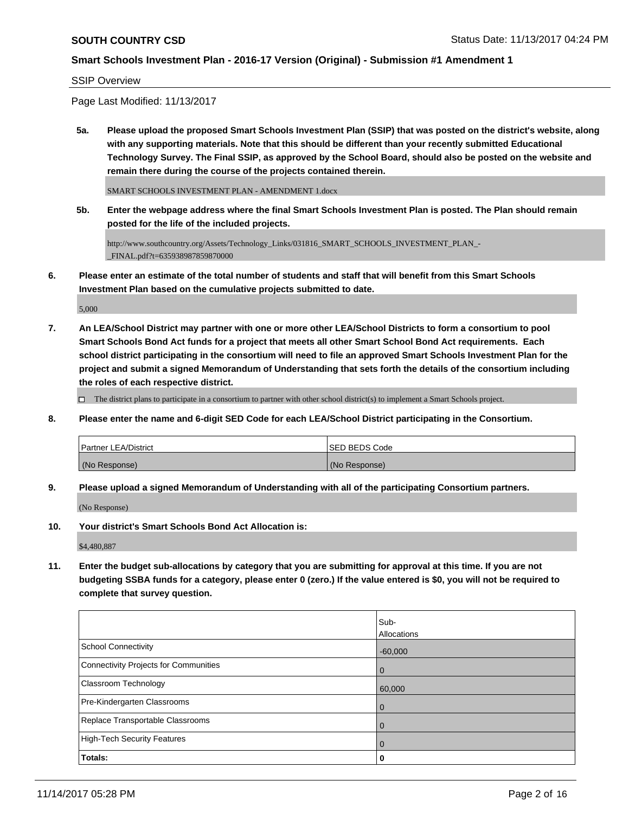#### SSIP Overview

Page Last Modified: 11/13/2017

**5a. Please upload the proposed Smart Schools Investment Plan (SSIP) that was posted on the district's website, along with any supporting materials. Note that this should be different than your recently submitted Educational Technology Survey. The Final SSIP, as approved by the School Board, should also be posted on the website and remain there during the course of the projects contained therein.**

SMART SCHOOLS INVESTMENT PLAN - AMENDMENT 1.docx

**5b. Enter the webpage address where the final Smart Schools Investment Plan is posted. The Plan should remain posted for the life of the included projects.**

http://www.southcountry.org/Assets/Technology\_Links/031816\_SMART\_SCHOOLS\_INVESTMENT\_PLAN\_- \_FINAL.pdf?t=635938987859870000

**6. Please enter an estimate of the total number of students and staff that will benefit from this Smart Schools Investment Plan based on the cumulative projects submitted to date.**

5,000

**7. An LEA/School District may partner with one or more other LEA/School Districts to form a consortium to pool Smart Schools Bond Act funds for a project that meets all other Smart School Bond Act requirements. Each school district participating in the consortium will need to file an approved Smart Schools Investment Plan for the project and submit a signed Memorandum of Understanding that sets forth the details of the consortium including the roles of each respective district.**

 $\Box$  The district plans to participate in a consortium to partner with other school district(s) to implement a Smart Schools project.

**8. Please enter the name and 6-digit SED Code for each LEA/School District participating in the Consortium.**

| <b>Partner LEA/District</b> | ISED BEDS Code |
|-----------------------------|----------------|
| (No Response)               | (No Response)  |

**9. Please upload a signed Memorandum of Understanding with all of the participating Consortium partners.**

(No Response)

**10. Your district's Smart Schools Bond Act Allocation is:**

\$4,480,887

**11. Enter the budget sub-allocations by category that you are submitting for approval at this time. If you are not budgeting SSBA funds for a category, please enter 0 (zero.) If the value entered is \$0, you will not be required to complete that survey question.**

|                                       | Sub-               |
|---------------------------------------|--------------------|
|                                       | <b>Allocations</b> |
| <b>School Connectivity</b>            | $-60,000$          |
| Connectivity Projects for Communities | $\overline{0}$     |
| <b>Classroom Technology</b>           | 60,000             |
| Pre-Kindergarten Classrooms           | $\overline{0}$     |
| Replace Transportable Classrooms      | $\Omega$           |
| High-Tech Security Features           | $\overline{0}$     |
| Totals:                               | 0                  |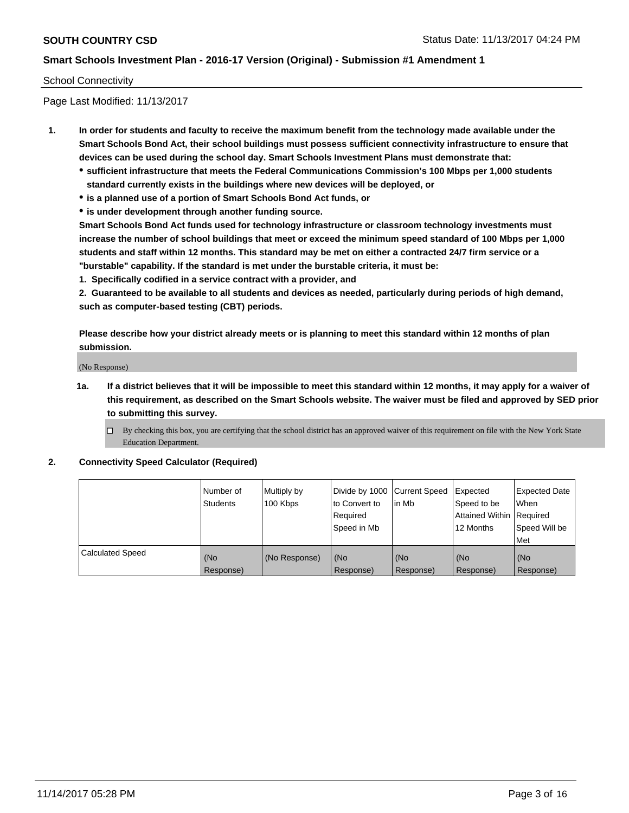#### School Connectivity

Page Last Modified: 11/13/2017

- **1. In order for students and faculty to receive the maximum benefit from the technology made available under the Smart Schools Bond Act, their school buildings must possess sufficient connectivity infrastructure to ensure that devices can be used during the school day. Smart Schools Investment Plans must demonstrate that:**
	- **sufficient infrastructure that meets the Federal Communications Commission's 100 Mbps per 1,000 students standard currently exists in the buildings where new devices will be deployed, or**
	- **is a planned use of a portion of Smart Schools Bond Act funds, or**
	- **is under development through another funding source.**

**Smart Schools Bond Act funds used for technology infrastructure or classroom technology investments must increase the number of school buildings that meet or exceed the minimum speed standard of 100 Mbps per 1,000 students and staff within 12 months. This standard may be met on either a contracted 24/7 firm service or a "burstable" capability. If the standard is met under the burstable criteria, it must be:**

**1. Specifically codified in a service contract with a provider, and**

**2. Guaranteed to be available to all students and devices as needed, particularly during periods of high demand, such as computer-based testing (CBT) periods.**

**Please describe how your district already meets or is planning to meet this standard within 12 months of plan submission.**

(No Response)

**1a. If a district believes that it will be impossible to meet this standard within 12 months, it may apply for a waiver of this requirement, as described on the Smart Schools website. The waiver must be filed and approved by SED prior to submitting this survey.**

 $\Box$  By checking this box, you are certifying that the school district has an approved waiver of this requirement on file with the New York State Education Department.

#### **2. Connectivity Speed Calculator (Required)**

|                         | Number of<br><b>Students</b> | Multiply by<br>100 Kbps | Divide by 1000 Current Speed<br>to Convert to<br>Required<br>l Speed in Mb | lin Mb           | Expected<br>Speed to be<br>Attained Within Required<br>12 Months | <b>Expected Date</b><br><b>When</b><br>Speed Will be<br>Met |
|-------------------------|------------------------------|-------------------------|----------------------------------------------------------------------------|------------------|------------------------------------------------------------------|-------------------------------------------------------------|
| <b>Calculated Speed</b> | (No<br>Response)             | (No Response)           | (No<br>Response)                                                           | (No<br>Response) | (No<br>Response)                                                 | (No<br>Response)                                            |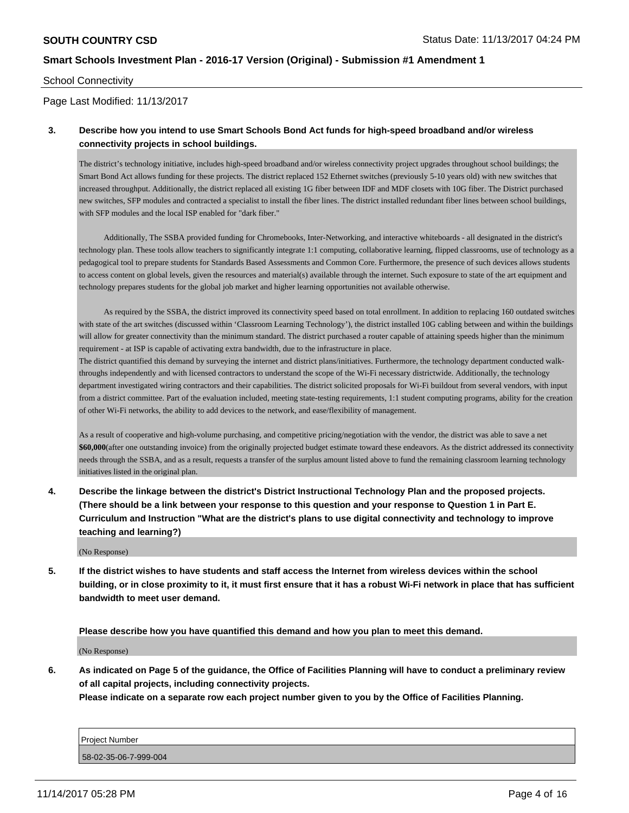#### School Connectivity

Page Last Modified: 11/13/2017

### **3. Describe how you intend to use Smart Schools Bond Act funds for high-speed broadband and/or wireless connectivity projects in school buildings.**

The district's technology initiative, includes high-speed broadband and/or wireless connectivity project upgrades throughout school buildings; the Smart Bond Act allows funding for these projects. The district replaced 152 Ethernet switches (previously 5-10 years old) with new switches that increased throughput. Additionally, the district replaced all existing 1G fiber between IDF and MDF closets with 10G fiber. The District purchased new switches, SFP modules and contracted a specialist to install the fiber lines. The district installed redundant fiber lines between school buildings, with SFP modules and the local ISP enabled for "dark fiber."

 Additionally, The SSBA provided funding for Chromebooks, Inter-Networking, and interactive whiteboards - all designated in the district's technology plan. These tools allow teachers to significantly integrate 1:1 computing, collaborative learning, flipped classrooms, use of technology as a pedagogical tool to prepare students for Standards Based Assessments and Common Core. Furthermore, the presence of such devices allows students to access content on global levels, given the resources and material(s) available through the internet. Such exposure to state of the art equipment and technology prepares students for the global job market and higher learning opportunities not available otherwise.

 As required by the SSBA, the district improved its connectivity speed based on total enrollment. In addition to replacing 160 outdated switches with state of the art switches (discussed within 'Classroom Learning Technology'), the district installed 10G cabling between and within the buildings will allow for greater connectivity than the minimum standard. The district purchased a router capable of attaining speeds higher than the minimum requirement - at ISP is capable of activating extra bandwidth, due to the infrastructure in place.

The district quantified this demand by surveying the internet and district plans/initiatives. Furthermore, the technology department conducted walkthroughs independently and with licensed contractors to understand the scope of the Wi-Fi necessary districtwide. Additionally, the technology department investigated wiring contractors and their capabilities. The district solicited proposals for Wi-Fi buildout from several vendors, with input from a district committee. Part of the evaluation included, meeting state-testing requirements, 1:1 student computing programs, ability for the creation of other Wi-Fi networks, the ability to add devices to the network, and ease/flexibility of management.

As a result of cooperative and high-volume purchasing, and competitive pricing/negotiation with the vendor, the district was able to save a net **\$60,000**(after one outstanding invoice) from the originally projected budget estimate toward these endeavors. As the district addressed its connectivity needs through the SSBA, and as a result, requests a transfer of the surplus amount listed above to fund the remaining classroom learning technology initiatives listed in the original plan.

**4. Describe the linkage between the district's District Instructional Technology Plan and the proposed projects. (There should be a link between your response to this question and your response to Question 1 in Part E. Curriculum and Instruction "What are the district's plans to use digital connectivity and technology to improve teaching and learning?)**

(No Response)

**5. If the district wishes to have students and staff access the Internet from wireless devices within the school building, or in close proximity to it, it must first ensure that it has a robust Wi-Fi network in place that has sufficient bandwidth to meet user demand.**

**Please describe how you have quantified this demand and how you plan to meet this demand.**

(No Response)

**6. As indicated on Page 5 of the guidance, the Office of Facilities Planning will have to conduct a preliminary review of all capital projects, including connectivity projects.**

**Please indicate on a separate row each project number given to you by the Office of Facilities Planning.**

| Project Number        |  |
|-----------------------|--|
| 58-02-35-06-7-999-004 |  |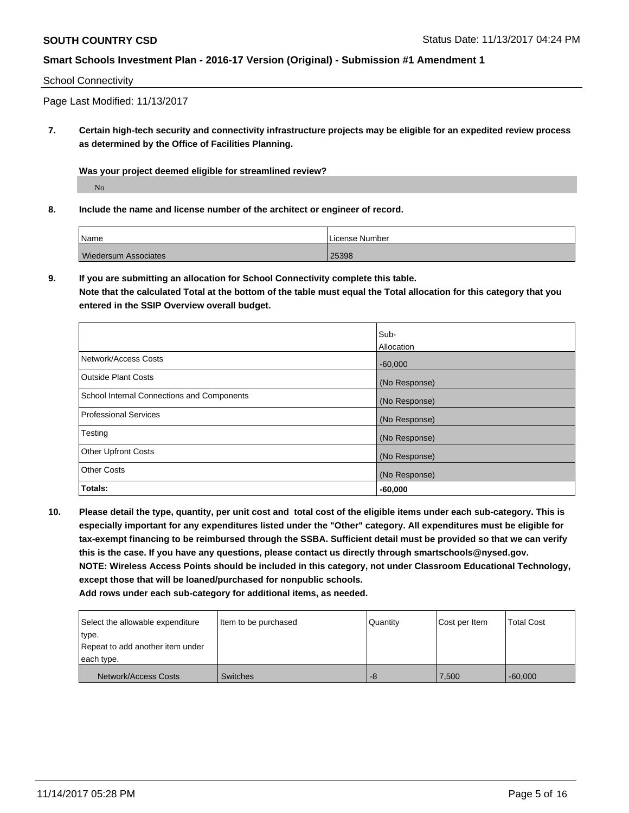#### School Connectivity

Page Last Modified: 11/13/2017

**7. Certain high-tech security and connectivity infrastructure projects may be eligible for an expedited review process as determined by the Office of Facilities Planning.**

**Was your project deemed eligible for streamlined review?**

No

**8. Include the name and license number of the architect or engineer of record.**

| Name                        | License Number |
|-----------------------------|----------------|
| <b>Wiedersum Associates</b> | 25398          |

**9. If you are submitting an allocation for School Connectivity complete this table. Note that the calculated Total at the bottom of the table must equal the Total allocation for this category that you entered in the SSIP Overview overall budget.** 

|                                            | Sub-          |
|--------------------------------------------|---------------|
|                                            | Allocation    |
| Network/Access Costs                       | $-60,000$     |
| Outside Plant Costs                        | (No Response) |
| School Internal Connections and Components | (No Response) |
| Professional Services                      | (No Response) |
| Testing                                    | (No Response) |
| <b>Other Upfront Costs</b>                 | (No Response) |
| <b>Other Costs</b>                         | (No Response) |
| Totals:                                    | $-60,000$     |

**10. Please detail the type, quantity, per unit cost and total cost of the eligible items under each sub-category. This is especially important for any expenditures listed under the "Other" category. All expenditures must be eligible for tax-exempt financing to be reimbursed through the SSBA. Sufficient detail must be provided so that we can verify this is the case. If you have any questions, please contact us directly through smartschools@nysed.gov. NOTE: Wireless Access Points should be included in this category, not under Classroom Educational Technology, except those that will be loaned/purchased for nonpublic schools.**

| Select the allowable expenditure | Item to be purchased | Quantity | Cost per Item | Total Cost |
|----------------------------------|----------------------|----------|---------------|------------|
| type.                            |                      |          |               |            |
| Repeat to add another item under |                      |          |               |            |
| each type.                       |                      |          |               |            |
| Network/Access Costs             | <b>Switches</b>      | -8       | 7,500         | $-60.000$  |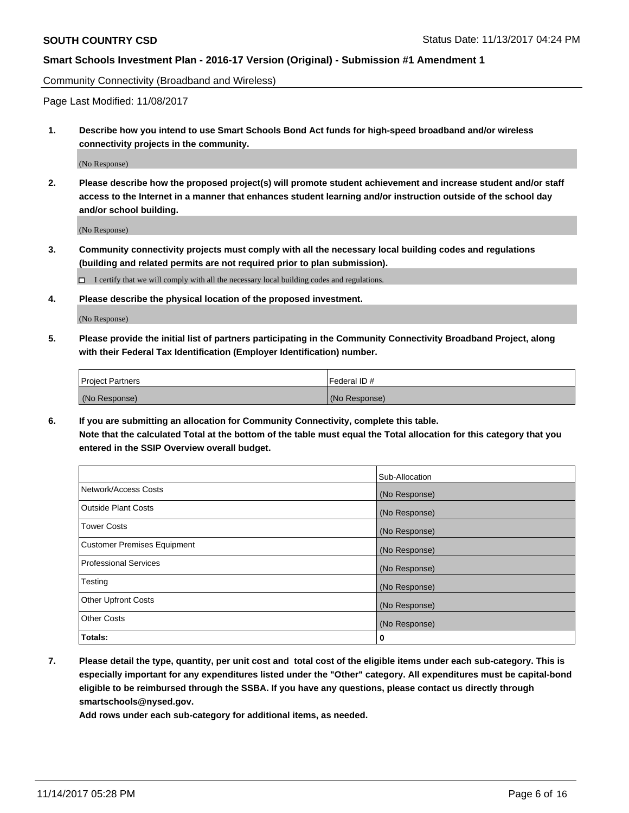Community Connectivity (Broadband and Wireless)

Page Last Modified: 11/08/2017

**1. Describe how you intend to use Smart Schools Bond Act funds for high-speed broadband and/or wireless connectivity projects in the community.**

(No Response)

**2. Please describe how the proposed project(s) will promote student achievement and increase student and/or staff access to the Internet in a manner that enhances student learning and/or instruction outside of the school day and/or school building.**

(No Response)

**3. Community connectivity projects must comply with all the necessary local building codes and regulations (building and related permits are not required prior to plan submission).**

 $\Box$  I certify that we will comply with all the necessary local building codes and regulations.

**4. Please describe the physical location of the proposed investment.**

(No Response)

**5. Please provide the initial list of partners participating in the Community Connectivity Broadband Project, along with their Federal Tax Identification (Employer Identification) number.**

| <b>Project Partners</b> | l Federal ID # |
|-------------------------|----------------|
| (No Response)           | (No Response)  |

**6. If you are submitting an allocation for Community Connectivity, complete this table. Note that the calculated Total at the bottom of the table must equal the Total allocation for this category that you entered in the SSIP Overview overall budget.**

|                                    | Sub-Allocation |
|------------------------------------|----------------|
| Network/Access Costs               | (No Response)  |
| <b>Outside Plant Costs</b>         | (No Response)  |
| <b>Tower Costs</b>                 | (No Response)  |
| <b>Customer Premises Equipment</b> | (No Response)  |
| <b>Professional Services</b>       | (No Response)  |
| Testing                            | (No Response)  |
| <b>Other Upfront Costs</b>         | (No Response)  |
| <b>Other Costs</b>                 | (No Response)  |
| Totals:                            | 0              |

**7. Please detail the type, quantity, per unit cost and total cost of the eligible items under each sub-category. This is especially important for any expenditures listed under the "Other" category. All expenditures must be capital-bond eligible to be reimbursed through the SSBA. If you have any questions, please contact us directly through smartschools@nysed.gov.**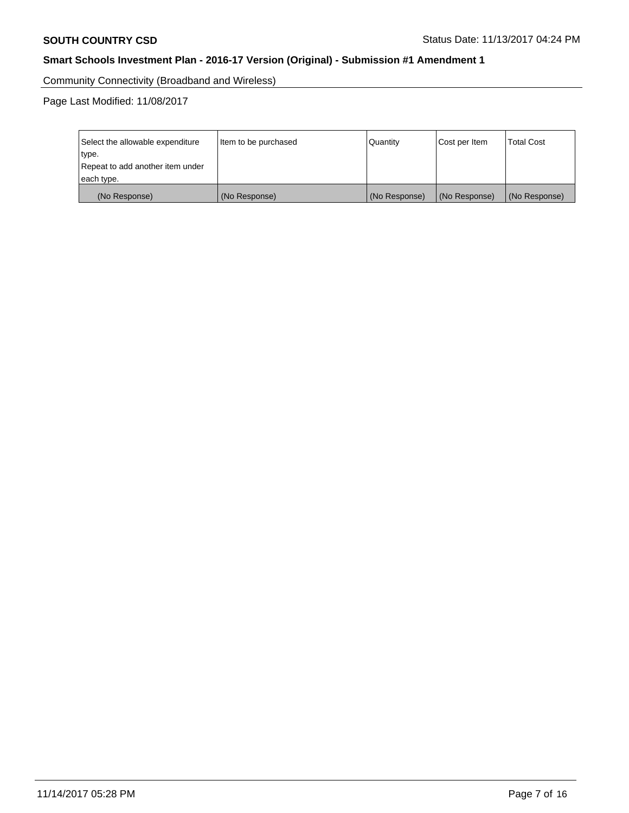Community Connectivity (Broadband and Wireless)

Page Last Modified: 11/08/2017

| Select the allowable expenditure<br>type.<br>Repeat to add another item under | Item to be purchased | Quantity      | Cost per Item | <b>Total Cost</b> |
|-------------------------------------------------------------------------------|----------------------|---------------|---------------|-------------------|
| each type.                                                                    |                      |               |               |                   |
| (No Response)                                                                 | (No Response)        | (No Response) | (No Response) | (No Response)     |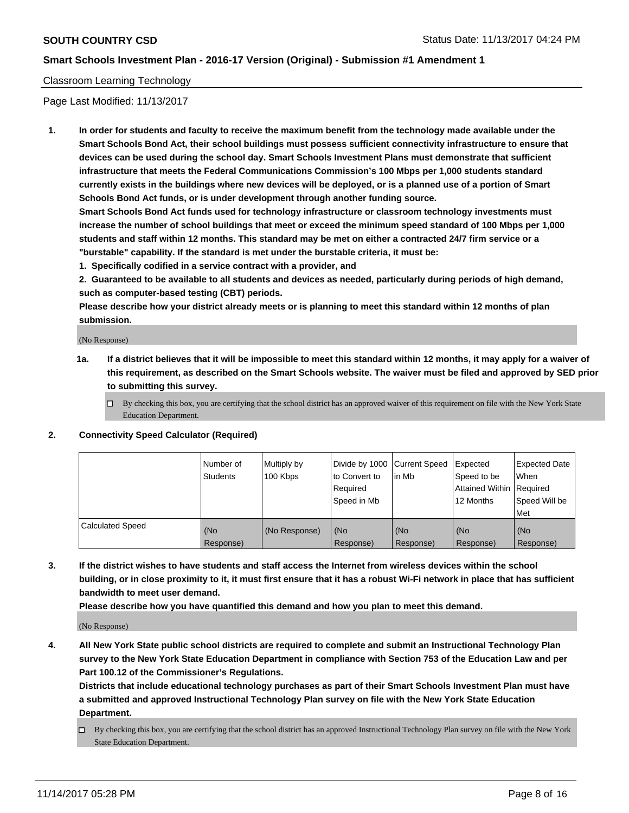#### Classroom Learning Technology

Page Last Modified: 11/13/2017

**1. In order for students and faculty to receive the maximum benefit from the technology made available under the Smart Schools Bond Act, their school buildings must possess sufficient connectivity infrastructure to ensure that devices can be used during the school day. Smart Schools Investment Plans must demonstrate that sufficient infrastructure that meets the Federal Communications Commission's 100 Mbps per 1,000 students standard currently exists in the buildings where new devices will be deployed, or is a planned use of a portion of Smart Schools Bond Act funds, or is under development through another funding source.**

**Smart Schools Bond Act funds used for technology infrastructure or classroom technology investments must increase the number of school buildings that meet or exceed the minimum speed standard of 100 Mbps per 1,000 students and staff within 12 months. This standard may be met on either a contracted 24/7 firm service or a "burstable" capability. If the standard is met under the burstable criteria, it must be:**

**1. Specifically codified in a service contract with a provider, and**

**2. Guaranteed to be available to all students and devices as needed, particularly during periods of high demand, such as computer-based testing (CBT) periods.**

**Please describe how your district already meets or is planning to meet this standard within 12 months of plan submission.**

(No Response)

- **1a. If a district believes that it will be impossible to meet this standard within 12 months, it may apply for a waiver of this requirement, as described on the Smart Schools website. The waiver must be filed and approved by SED prior to submitting this survey.**
	- $\Box$  By checking this box, you are certifying that the school district has an approved waiver of this requirement on file with the New York State Education Department.
- **2. Connectivity Speed Calculator (Required)**

|                         | Number of<br><b>Students</b> | Multiply by<br>100 Kbps | Divide by 1000 Current Speed<br>to Convert to<br>Reauired<br>Speed in Mb | l in Mb          | Expected<br>Speed to be<br>Attained Within   Required<br>12 Months | Expected Date<br>When<br>Speed Will be<br>Met |
|-------------------------|------------------------------|-------------------------|--------------------------------------------------------------------------|------------------|--------------------------------------------------------------------|-----------------------------------------------|
| <b>Calculated Speed</b> | (No<br>Response)             | (No Response)           | (No<br>Response)                                                         | (No<br>Response) | (No<br>Response)                                                   | (No<br>Response)                              |

**3. If the district wishes to have students and staff access the Internet from wireless devices within the school building, or in close proximity to it, it must first ensure that it has a robust Wi-Fi network in place that has sufficient bandwidth to meet user demand.**

**Please describe how you have quantified this demand and how you plan to meet this demand.**

(No Response)

**4. All New York State public school districts are required to complete and submit an Instructional Technology Plan survey to the New York State Education Department in compliance with Section 753 of the Education Law and per Part 100.12 of the Commissioner's Regulations.**

**Districts that include educational technology purchases as part of their Smart Schools Investment Plan must have a submitted and approved Instructional Technology Plan survey on file with the New York State Education Department.**

By checking this box, you are certifying that the school district has an approved Instructional Technology Plan survey on file with the New York State Education Department.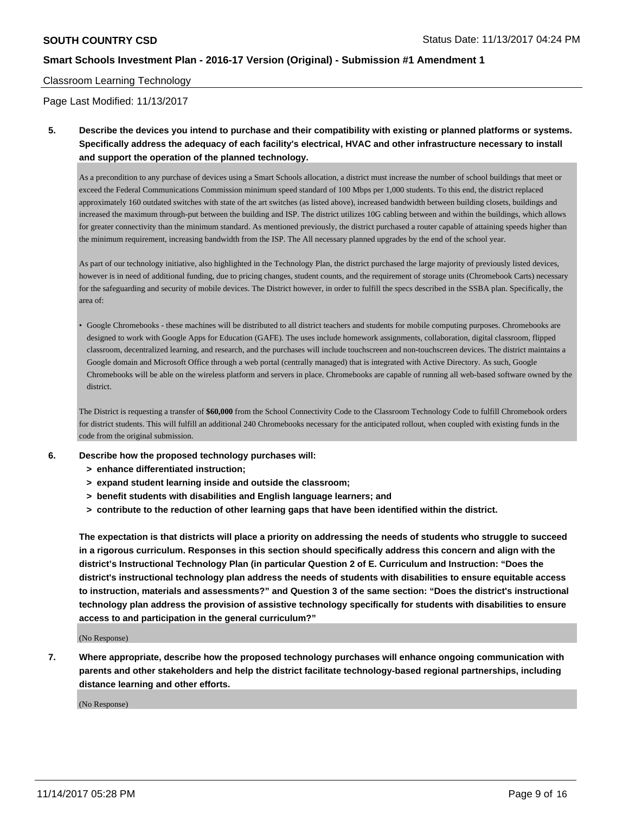#### Classroom Learning Technology

Page Last Modified: 11/13/2017

**5. Describe the devices you intend to purchase and their compatibility with existing or planned platforms or systems. Specifically address the adequacy of each facility's electrical, HVAC and other infrastructure necessary to install and support the operation of the planned technology.**

As a precondition to any purchase of devices using a Smart Schools allocation, a district must increase the number of school buildings that meet or exceed the Federal Communications Commission minimum speed standard of 100 Mbps per 1,000 students. To this end, the district replaced approximately 160 outdated switches with state of the art switches (as listed above), increased bandwidth between building closets, buildings and increased the maximum through-put between the building and ISP. The district utilizes 10G cabling between and within the buildings, which allows for greater connectivity than the minimum standard. As mentioned previously, the district purchased a router capable of attaining speeds higher than the minimum requirement, increasing bandwidth from the ISP. The All necessary planned upgrades by the end of the school year.

As part of our technology initiative, also highlighted in the Technology Plan, the district purchased the large majority of previously listed devices, however is in need of additional funding, due to pricing changes, student counts, and the requirement of storage units (Chromebook Carts) necessary for the safeguarding and security of mobile devices. The District however, in order to fulfill the specs described in the SSBA plan. Specifically, the area of:

• Google Chromebooks - these machines will be distributed to all district teachers and students for mobile computing purposes. Chromebooks are designed to work with Google Apps for Education (GAFE). The uses include homework assignments, collaboration, digital classroom, flipped classroom, decentralized learning, and research, and the purchases will include touchscreen and non-touchscreen devices. The district maintains a Google domain and Microsoft Office through a web portal (centrally managed) that is integrated with Active Directory. As such, Google Chromebooks will be able on the wireless platform and servers in place. Chromebooks are capable of running all web-based software owned by the district.

The District is requesting a transfer of **\$60,000** from the School Connectivity Code to the Classroom Technology Code to fulfill Chromebook orders for district students. This will fulfill an additional 240 Chromebooks necessary for the anticipated rollout, when coupled with existing funds in the code from the original submission.

- **6. Describe how the proposed technology purchases will:**
	- **> enhance differentiated instruction;**
	- **> expand student learning inside and outside the classroom;**
	- **> benefit students with disabilities and English language learners; and**
	- **> contribute to the reduction of other learning gaps that have been identified within the district.**

**The expectation is that districts will place a priority on addressing the needs of students who struggle to succeed in a rigorous curriculum. Responses in this section should specifically address this concern and align with the district's Instructional Technology Plan (in particular Question 2 of E. Curriculum and Instruction: "Does the district's instructional technology plan address the needs of students with disabilities to ensure equitable access to instruction, materials and assessments?" and Question 3 of the same section: "Does the district's instructional technology plan address the provision of assistive technology specifically for students with disabilities to ensure access to and participation in the general curriculum?"**

(No Response)

**7. Where appropriate, describe how the proposed technology purchases will enhance ongoing communication with parents and other stakeholders and help the district facilitate technology-based regional partnerships, including distance learning and other efforts.**

(No Response)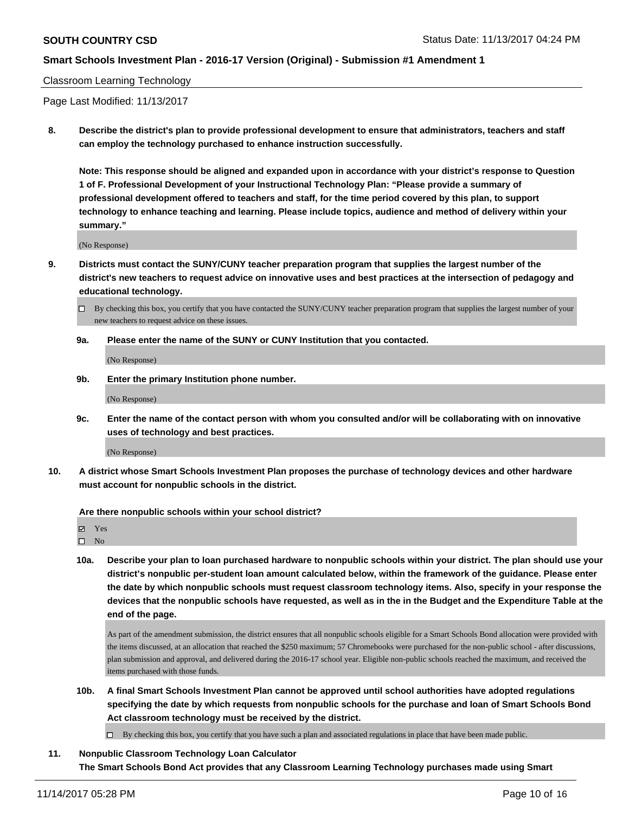#### Classroom Learning Technology

Page Last Modified: 11/13/2017

**8. Describe the district's plan to provide professional development to ensure that administrators, teachers and staff can employ the technology purchased to enhance instruction successfully.**

**Note: This response should be aligned and expanded upon in accordance with your district's response to Question 1 of F. Professional Development of your Instructional Technology Plan: "Please provide a summary of professional development offered to teachers and staff, for the time period covered by this plan, to support technology to enhance teaching and learning. Please include topics, audience and method of delivery within your summary."**

(No Response)

**9. Districts must contact the SUNY/CUNY teacher preparation program that supplies the largest number of the district's new teachers to request advice on innovative uses and best practices at the intersection of pedagogy and educational technology.**

**9a. Please enter the name of the SUNY or CUNY Institution that you contacted.**

(No Response)

**9b. Enter the primary Institution phone number.**

(No Response)

**9c. Enter the name of the contact person with whom you consulted and/or will be collaborating with on innovative uses of technology and best practices.**

(No Response)

**10. A district whose Smart Schools Investment Plan proposes the purchase of technology devices and other hardware must account for nonpublic schools in the district.**

**Are there nonpublic schools within your school district?**

Yes

 $\square$  No

**10a. Describe your plan to loan purchased hardware to nonpublic schools within your district. The plan should use your district's nonpublic per-student loan amount calculated below, within the framework of the guidance. Please enter the date by which nonpublic schools must request classroom technology items. Also, specify in your response the devices that the nonpublic schools have requested, as well as in the in the Budget and the Expenditure Table at the end of the page.**

As part of the amendment submission, the district ensures that all nonpublic schools eligible for a Smart Schools Bond allocation were provided with the items discussed, at an allocation that reached the \$250 maximum; 57 Chromebooks were purchased for the non-public school - after discussions, plan submission and approval, and delivered during the 2016-17 school year. Eligible non-public schools reached the maximum, and received the items purchased with those funds.

**10b. A final Smart Schools Investment Plan cannot be approved until school authorities have adopted regulations specifying the date by which requests from nonpublic schools for the purchase and loan of Smart Schools Bond Act classroom technology must be received by the district.**

 $\Box$  By checking this box, you certify that you have such a plan and associated regulations in place that have been made public.

**11. Nonpublic Classroom Technology Loan Calculator The Smart Schools Bond Act provides that any Classroom Learning Technology purchases made using Smart**

 $\Box$  By checking this box, you certify that you have contacted the SUNY/CUNY teacher preparation program that supplies the largest number of your new teachers to request advice on these issues.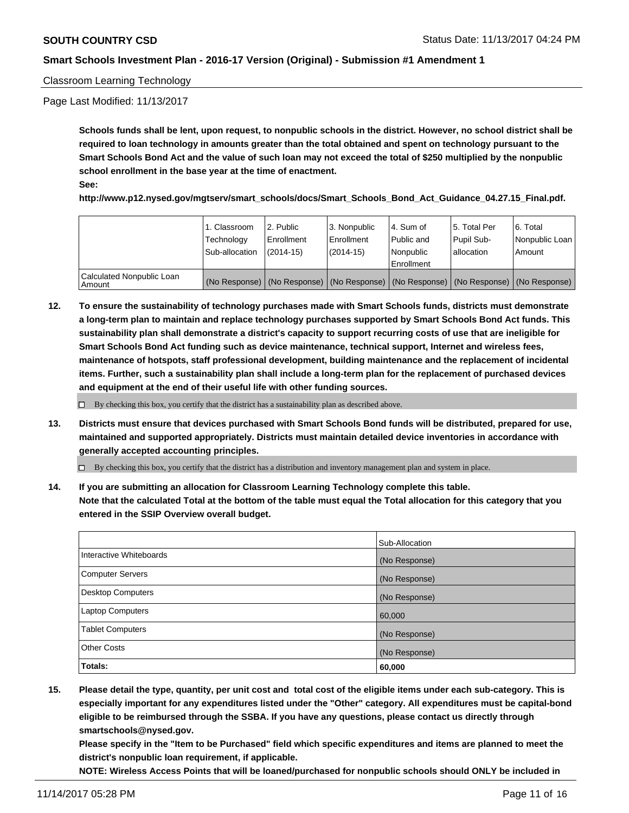#### Classroom Learning Technology

Page Last Modified: 11/13/2017

**Schools funds shall be lent, upon request, to nonpublic schools in the district. However, no school district shall be required to loan technology in amounts greater than the total obtained and spent on technology pursuant to the Smart Schools Bond Act and the value of such loan may not exceed the total of \$250 multiplied by the nonpublic school enrollment in the base year at the time of enactment. See:**

## **http://www.p12.nysed.gov/mgtserv/smart\_schools/docs/Smart\_Schools\_Bond\_Act\_Guidance\_04.27.15\_Final.pdf.**

|                                     | 1. Classroom<br>Technology<br>Sub-allocation | l 2. Public<br>Enrollment<br>$(2014-15)$ | 3. Nonpublic<br>Enrollment<br>(2014-15) | l 4. Sum of<br>Public and<br>l Nonpublic<br>l Enrollment                                      | 15. Total Per<br>Pupil Sub-<br>lallocation | l 6. Total<br>Nonpublic Loan<br>Amount |
|-------------------------------------|----------------------------------------------|------------------------------------------|-----------------------------------------|-----------------------------------------------------------------------------------------------|--------------------------------------------|----------------------------------------|
| Calculated Nonpublic Loan<br>Amount |                                              |                                          |                                         | (No Response)   (No Response)   (No Response)   (No Response)   (No Response)   (No Response) |                                            |                                        |

**12. To ensure the sustainability of technology purchases made with Smart Schools funds, districts must demonstrate a long-term plan to maintain and replace technology purchases supported by Smart Schools Bond Act funds. This sustainability plan shall demonstrate a district's capacity to support recurring costs of use that are ineligible for Smart Schools Bond Act funding such as device maintenance, technical support, Internet and wireless fees, maintenance of hotspots, staff professional development, building maintenance and the replacement of incidental items. Further, such a sustainability plan shall include a long-term plan for the replacement of purchased devices and equipment at the end of their useful life with other funding sources.**

 $\Box$  By checking this box, you certify that the district has a sustainability plan as described above.

**13. Districts must ensure that devices purchased with Smart Schools Bond funds will be distributed, prepared for use, maintained and supported appropriately. Districts must maintain detailed device inventories in accordance with generally accepted accounting principles.**

By checking this box, you certify that the district has a distribution and inventory management plan and system in place.

**14. If you are submitting an allocation for Classroom Learning Technology complete this table. Note that the calculated Total at the bottom of the table must equal the Total allocation for this category that you entered in the SSIP Overview overall budget.**

|                          | Sub-Allocation |
|--------------------------|----------------|
| Interactive Whiteboards  | (No Response)  |
| <b>Computer Servers</b>  | (No Response)  |
| <b>Desktop Computers</b> | (No Response)  |
| <b>Laptop Computers</b>  | 60,000         |
| <b>Tablet Computers</b>  | (No Response)  |
| <b>Other Costs</b>       | (No Response)  |
| Totals:                  | 60,000         |

**15. Please detail the type, quantity, per unit cost and total cost of the eligible items under each sub-category. This is especially important for any expenditures listed under the "Other" category. All expenditures must be capital-bond eligible to be reimbursed through the SSBA. If you have any questions, please contact us directly through smartschools@nysed.gov.**

**Please specify in the "Item to be Purchased" field which specific expenditures and items are planned to meet the district's nonpublic loan requirement, if applicable.**

**NOTE: Wireless Access Points that will be loaned/purchased for nonpublic schools should ONLY be included in**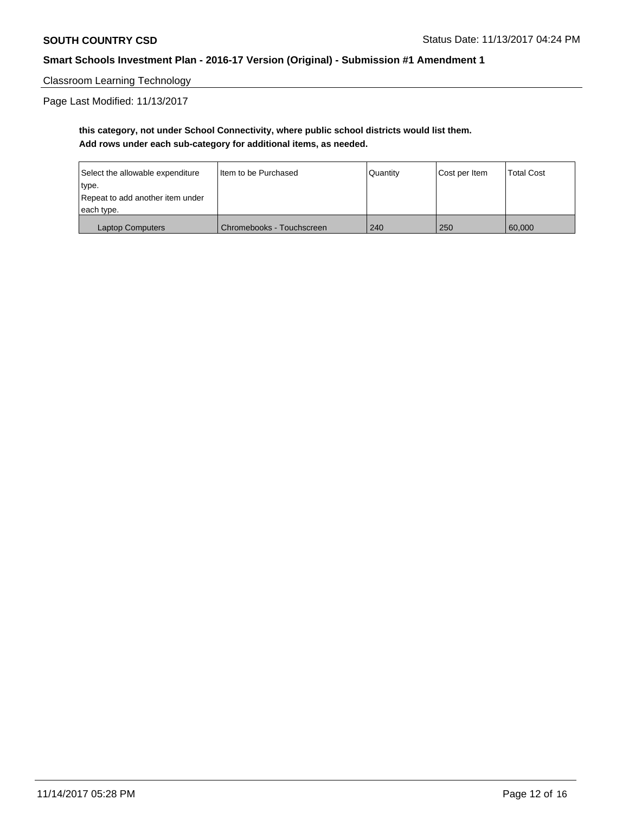Classroom Learning Technology

Page Last Modified: 11/13/2017

## **this category, not under School Connectivity, where public school districts would list them. Add rows under each sub-category for additional items, as needed.**

| Select the allowable expenditure | I Item to be Purchased    | Quantity | Cost per Item | <b>Total Cost</b> |
|----------------------------------|---------------------------|----------|---------------|-------------------|
| type.                            |                           |          |               |                   |
| Repeat to add another item under |                           |          |               |                   |
| each type.                       |                           |          |               |                   |
| <b>Laptop Computers</b>          | Chromebooks - Touchscreen | 240      | 250           | 60,000            |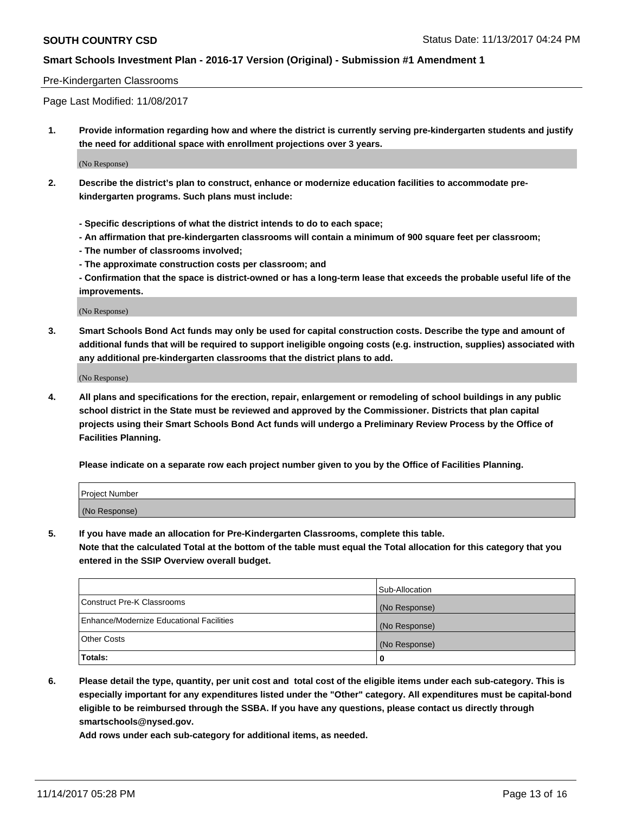#### Pre-Kindergarten Classrooms

Page Last Modified: 11/08/2017

**1. Provide information regarding how and where the district is currently serving pre-kindergarten students and justify the need for additional space with enrollment projections over 3 years.**

(No Response)

- **2. Describe the district's plan to construct, enhance or modernize education facilities to accommodate prekindergarten programs. Such plans must include:**
	- **Specific descriptions of what the district intends to do to each space;**
	- **An affirmation that pre-kindergarten classrooms will contain a minimum of 900 square feet per classroom;**
	- **The number of classrooms involved;**
	- **The approximate construction costs per classroom; and**

**- Confirmation that the space is district-owned or has a long-term lease that exceeds the probable useful life of the improvements.**

(No Response)

**3. Smart Schools Bond Act funds may only be used for capital construction costs. Describe the type and amount of additional funds that will be required to support ineligible ongoing costs (e.g. instruction, supplies) associated with any additional pre-kindergarten classrooms that the district plans to add.**

(No Response)

**4. All plans and specifications for the erection, repair, enlargement or remodeling of school buildings in any public school district in the State must be reviewed and approved by the Commissioner. Districts that plan capital projects using their Smart Schools Bond Act funds will undergo a Preliminary Review Process by the Office of Facilities Planning.**

**Please indicate on a separate row each project number given to you by the Office of Facilities Planning.**

| Project Number |  |
|----------------|--|
| (No Response)  |  |

**5. If you have made an allocation for Pre-Kindergarten Classrooms, complete this table.**

**Note that the calculated Total at the bottom of the table must equal the Total allocation for this category that you entered in the SSIP Overview overall budget.**

|                                          | Sub-Allocation |
|------------------------------------------|----------------|
| Construct Pre-K Classrooms               | (No Response)  |
| Enhance/Modernize Educational Facilities | (No Response)  |
| <b>Other Costs</b>                       | (No Response)  |
| <b>Totals:</b>                           | 0              |

**6. Please detail the type, quantity, per unit cost and total cost of the eligible items under each sub-category. This is especially important for any expenditures listed under the "Other" category. All expenditures must be capital-bond eligible to be reimbursed through the SSBA. If you have any questions, please contact us directly through smartschools@nysed.gov.**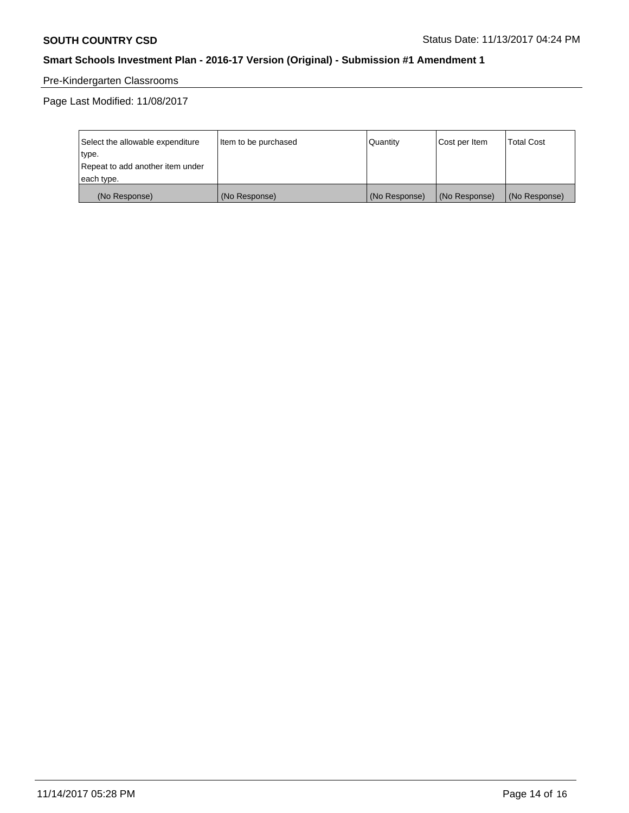# Pre-Kindergarten Classrooms

Page Last Modified: 11/08/2017

| Select the allowable expenditure | Item to be purchased | Quantity      | Cost per Item | <b>Total Cost</b> |
|----------------------------------|----------------------|---------------|---------------|-------------------|
| type.                            |                      |               |               |                   |
| Repeat to add another item under |                      |               |               |                   |
| each type.                       |                      |               |               |                   |
| (No Response)                    | (No Response)        | (No Response) | (No Response) | (No Response)     |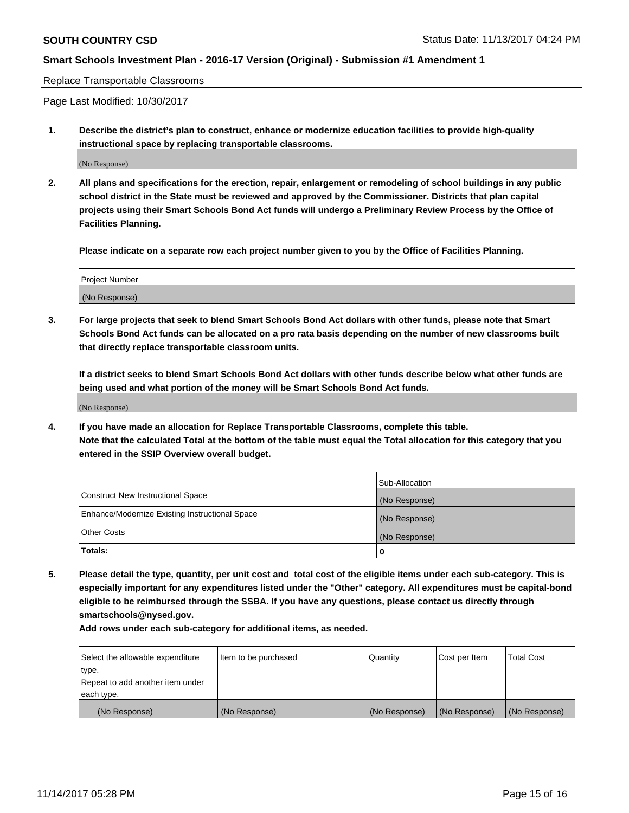#### Replace Transportable Classrooms

Page Last Modified: 10/30/2017

**1. Describe the district's plan to construct, enhance or modernize education facilities to provide high-quality instructional space by replacing transportable classrooms.**

(No Response)

**2. All plans and specifications for the erection, repair, enlargement or remodeling of school buildings in any public school district in the State must be reviewed and approved by the Commissioner. Districts that plan capital projects using their Smart Schools Bond Act funds will undergo a Preliminary Review Process by the Office of Facilities Planning.**

**Please indicate on a separate row each project number given to you by the Office of Facilities Planning.**

| Project Number |  |
|----------------|--|
| (No Response)  |  |

**3. For large projects that seek to blend Smart Schools Bond Act dollars with other funds, please note that Smart Schools Bond Act funds can be allocated on a pro rata basis depending on the number of new classrooms built that directly replace transportable classroom units.**

**If a district seeks to blend Smart Schools Bond Act dollars with other funds describe below what other funds are being used and what portion of the money will be Smart Schools Bond Act funds.**

(No Response)

**4. If you have made an allocation for Replace Transportable Classrooms, complete this table. Note that the calculated Total at the bottom of the table must equal the Total allocation for this category that you entered in the SSIP Overview overall budget.**

|                                                | Sub-Allocation |
|------------------------------------------------|----------------|
| Construct New Instructional Space              | (No Response)  |
| Enhance/Modernize Existing Instructional Space | (No Response)  |
| <b>Other Costs</b>                             | (No Response)  |
| Totals:                                        | 0              |

**5. Please detail the type, quantity, per unit cost and total cost of the eligible items under each sub-category. This is especially important for any expenditures listed under the "Other" category. All expenditures must be capital-bond eligible to be reimbursed through the SSBA. If you have any questions, please contact us directly through smartschools@nysed.gov.**

| Select the allowable expenditure | Item to be purchased | Quantity      | Cost per Item | <b>Total Cost</b> |
|----------------------------------|----------------------|---------------|---------------|-------------------|
| type.                            |                      |               |               |                   |
| Repeat to add another item under |                      |               |               |                   |
| each type.                       |                      |               |               |                   |
| (No Response)                    | (No Response)        | (No Response) | (No Response) | (No Response)     |